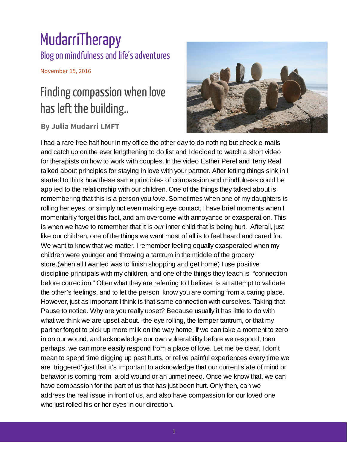## MudarriTherapy Blog on mindfulness and life's adventures

November 15, 2016

## Finding compassion when love has left the building..

## **By Julia Mudarri LMFT**



I had a rare free half hour in my office the other day to do nothing but check e-mails and catch up on the ever lengthening to do list and I decided to watch a short video for therapists on how to work with couples. In the video Esther Perel and Terry Real talked about principles for staying in love with your partner. After letting things sink in I started to think how these same principles of compassion and mindfulness could be applied to the relationship with our children. One of the things they talked about is remembering that this is a person you *love*. Sometimes when one of my daughters is rolling her eyes, or simply not even making eye contact, I have brief moments when I momentarily forget this fact, and am overcome with annoyance or exasperation. This is when we have to remember that it is *our* inner child that is being hurt. Afterall, just like our children, one of the things we want most of all is to feel heard and cared for. We want to know that we matter. Iremember feeling equally exasperated when my children were younger and throwing a tantrum in the middle of the grocery store.(when all I wanted was to finish shopping and get home) I use positive discipline principals with my children, and one of the things they teach is "connection before correction." Often what they are referring to I believe, is an attempt to validate the other's feelings, and to let the person know you are coming from a caring place. However, just as important I think is that same connection with ourselves. Taking that Pause to notice. Why are you really upset? Because usually it has little to do with what we think we are upset about. -the eye rolling, the temper tantrum, or that my partner forgot to pick up more milk on the way home. If we can take a moment to zero in on our wound, and acknowledge our own vulnerability before we respond, then perhaps, we can more easily respond from a place of love. Let me be clear, I don't mean to spend time digging up past hurts, or relive painful experiences every time we are 'triggered'-just that it's important to acknowledge that our current state of mind or behavior is coming from a old wound or an unmet need. Once we know that, we can have compassion for the part of us that has just been hurt. Only then, can we address the real issue in front of us, and also have compassion for our loved one who just rolled his or her eyes in our direction.